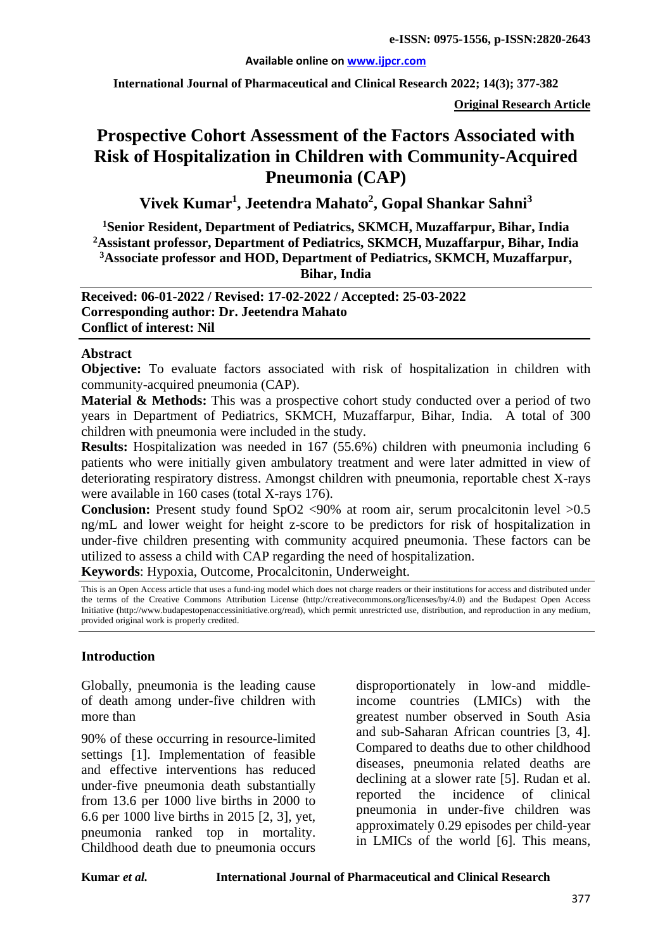#### **Available online on [www.ijpcr.com](http://www.ijpcr.com/)**

**International Journal of Pharmaceutical and Clinical Research 2022; 14(3); 377-382**

**Original Research Article**

# **Prospective Cohort Assessment of the Factors Associated with Risk of Hospitalization in Children with Community-Acquired Pneumonia (CAP)**

**Vivek Kumar1 , Jeetendra Mahato2 , Gopal Shankar Sahni3**

**1 Senior Resident, Department of Pediatrics, SKMCH, Muzaffarpur, Bihar, India 2 Assistant professor, Department of Pediatrics, SKMCH, Muzaffarpur, Bihar, India 3Associate professor and HOD, Department of Pediatrics, SKMCH, Muzaffarpur, Bihar, India**

**Received: 06-01-2022 / Revised: 17-02-2022 / Accepted: 25-03-2022 Corresponding author: Dr. Jeetendra Mahato Conflict of interest: Nil**

#### **Abstract**

**Objective:** To evaluate factors associated with risk of hospitalization in children with community-acquired pneumonia (CAP).

**Material & Methods:** This was a prospective cohort study conducted over a period of two years in Department of Pediatrics, SKMCH, Muzaffarpur, Bihar, India. A total of 300 children with pneumonia were included in the study.

**Results:** Hospitalization was needed in 167 (55.6%) children with pneumonia including 6 patients who were initially given ambulatory treatment and were later admitted in view of deteriorating respiratory distress. Amongst children with pneumonia, reportable chest X-rays were available in 160 cases (total X-rays 176).

**Conclusion:** Present study found SpO2 <90% at room air, serum procalcitonin level >0.5 ng/mL and lower weight for height z-score to be predictors for risk of hospitalization in under-five children presenting with community acquired pneumonia. These factors can be utilized to assess a child with CAP regarding the need of hospitalization.

**Keywords**: Hypoxia, Outcome, Procalcitonin, Underweight.

This is an Open Access article that uses a fund-ing model which does not charge readers or their institutions for access and distributed under the terms of the Creative Commons Attribution License (http://creativecommons.org/licenses/by/4.0) and the Budapest Open Access Initiative (http://www.budapestopenaccessinitiative.org/read), which permit unrestricted use, distribution, and reproduction in any medium, provided original work is properly credited.

#### **Introduction**

Globally, pneumonia is the leading cause of death among under-five children with more than

90% of these occurring in resource-limited settings [1]. Implementation of feasible and effective interventions has reduced under-five pneumonia death substantially from 13.6 per 1000 live births in 2000 to 6.6 per 1000 live births in 2015 [2, 3], yet, pneumonia ranked top in mortality. Childhood death due to pneumonia occurs

disproportionately in low-and middleincome countries (LMICs) with the greatest number observed in South Asia and sub-Saharan African countries [3, 4]. Compared to deaths due to other childhood diseases, pneumonia related deaths are declining at a slower rate [5]. Rudan et al. reported the incidence of clinical pneumonia in under-five children was approximately 0.29 episodes per child-year in LMICs of the world [6]. This means,

#### **Kumar** *et al.* **International Journal of Pharmaceutical and Clinical Research**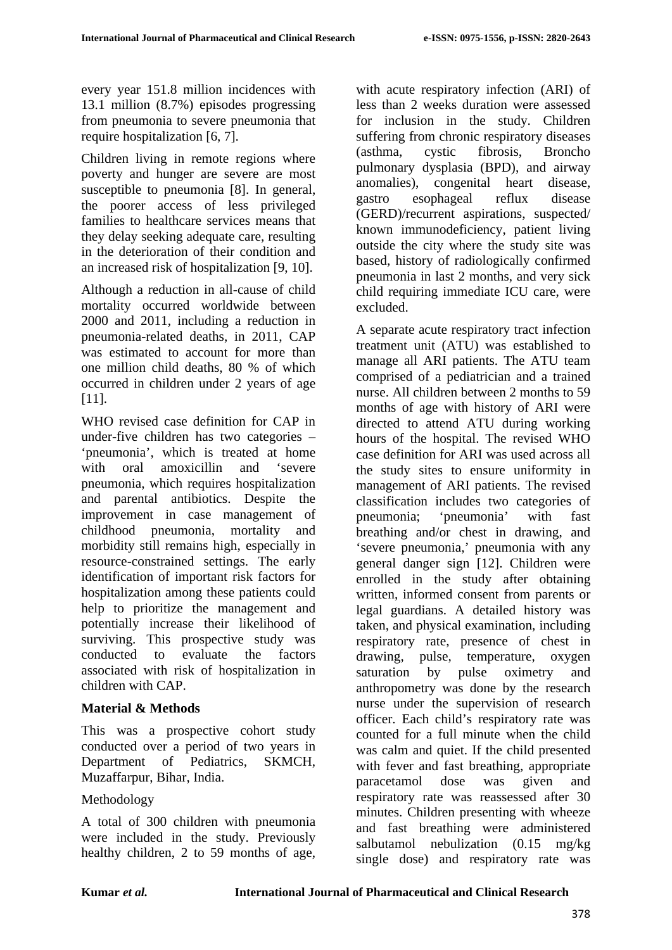every year 151.8 million incidences with 13.1 million (8.7%) episodes progressing from pneumonia to severe pneumonia that require hospitalization [6, 7].

Children living in remote regions where poverty and hunger are severe are most susceptible to pneumonia [8]. In general, the poorer access of less privileged families to healthcare services means that they delay seeking adequate care, resulting in the deterioration of their condition and an increased risk of hospitalization [9, 10].

Although a reduction in all-cause of child mortality occurred worldwide between 2000 and 2011, including a reduction in pneumonia-related deaths, in 2011, CAP was estimated to account for more than one million child deaths, 80 % of which occurred in children under 2 years of age [11].

WHO revised case definition for CAP in under-five children has two categories – 'pneumonia', which is treated at home with oral amoxicillin and 'severe pneumonia, which requires hospitalization and parental antibiotics. Despite the improvement in case management of childhood pneumonia, mortality and morbidity still remains high, especially in resource-constrained settings. The early identification of important risk factors for hospitalization among these patients could help to prioritize the management and potentially increase their likelihood of surviving. This prospective study was conducted to evaluate the factors associated with risk of hospitalization in children with CAP.

### **Material & Methods**

This was a prospective cohort study conducted over a period of two years in Department of Pediatrics, SKMCH, Muzaffarpur, Bihar, India.

### Methodology

A total of 300 children with pneumonia were included in the study. Previously healthy children, 2 to 59 months of age,

with acute respiratory infection (ARI) of less than 2 weeks duration were assessed for inclusion in the study. Children suffering from chronic respiratory diseases (asthma, cystic fibrosis, Broncho pulmonary dysplasia (BPD), and airway anomalies), congenital heart disease, gastro esophageal reflux disease (GERD)/recurrent aspirations, suspected/ known immunodeficiency, patient living outside the city where the study site was based, history of radiologically confirmed pneumonia in last 2 months, and very sick child requiring immediate ICU care, were excluded.

A separate acute respiratory tract infection treatment unit (ATU) was established to manage all ARI patients. The ATU team comprised of a pediatrician and a trained nurse. All children between 2 months to 59 months of age with history of ARI were directed to attend ATU during working hours of the hospital. The revised WHO case definition for ARI was used across all the study sites to ensure uniformity in management of ARI patients. The revised classification includes two categories of pneumonia; 'pneumonia' with fast breathing and/or chest in drawing, and 'severe pneumonia,' pneumonia with any general danger sign [12]. Children were enrolled in the study after obtaining written, informed consent from parents or legal guardians. A detailed history was taken, and physical examination, including respiratory rate, presence of chest in drawing, pulse, temperature, oxygen saturation by pulse oximetry and anthropometry was done by the research nurse under the supervision of research officer. Each child's respiratory rate was counted for a full minute when the child was calm and quiet. If the child presented with fever and fast breathing, appropriate paracetamol dose was given and respiratory rate was reassessed after 30 minutes. Children presenting with wheeze and fast breathing were administered salbutamol nebulization (0.15 mg/kg single dose) and respiratory rate was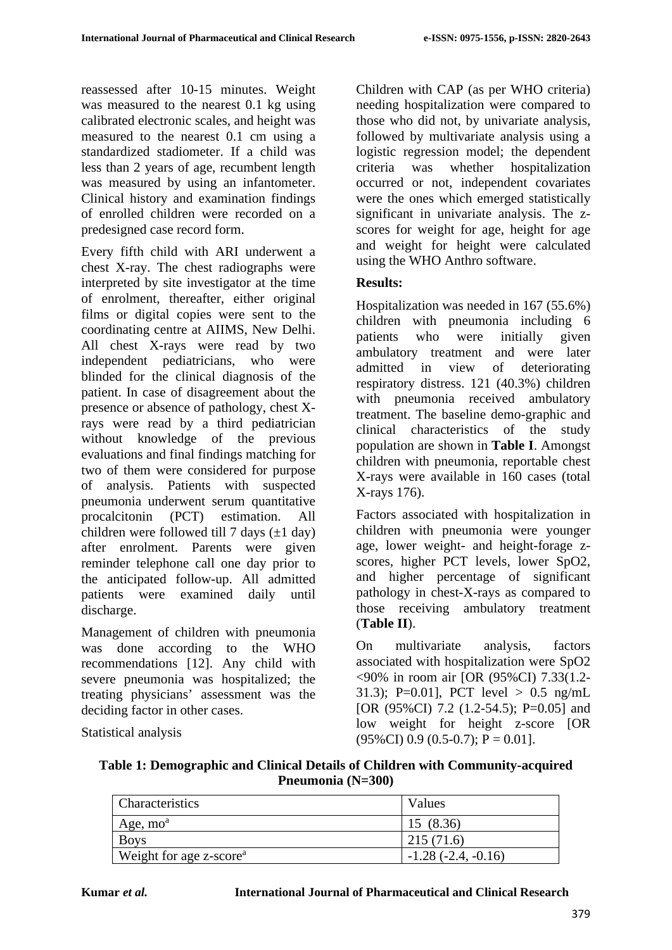reassessed after 10-15 minutes. Weight was measured to the nearest 0.1 kg using calibrated electronic scales, and height was measured to the nearest 0.1 cm using a standardized stadiometer. If a child was less than 2 years of age, recumbent length was measured by using an infantometer. Clinical history and examination findings of enrolled children were recorded on a predesigned case record form.

Every fifth child with ARI underwent a chest X-ray. The chest radiographs were interpreted by site investigator at the time of enrolment, thereafter, either original films or digital copies were sent to the coordinating centre at AIIMS, New Delhi. All chest X-rays were read by two independent pediatricians, who were blinded for the clinical diagnosis of the patient. In case of disagreement about the presence or absence of pathology, chest Xrays were read by a third pediatrician without knowledge of the previous evaluations and final findings matching for two of them were considered for purpose of analysis. Patients with suspected pneumonia underwent serum quantitative procalcitonin (PCT) estimation. All children were followed till 7 days  $(\pm 1$  day) after enrolment. Parents were given reminder telephone call one day prior to the anticipated follow-up. All admitted patients were examined daily until discharge.

Management of children with pneumonia was done according to the WHO recommendations [12]. Any child with severe pneumonia was hospitalized; the treating physicians' assessment was the deciding factor in other cases.

Statistical analysis

Children with CAP (as per WHO criteria) needing hospitalization were compared to those who did not, by univariate analysis, followed by multivariate analysis using a logistic regression model; the dependent criteria was whether hospitalization occurred or not, independent covariates were the ones which emerged statistically significant in univariate analysis. The zscores for weight for age, height for age and weight for height were calculated using the WHO Anthro software.

# **Results:**

Hospitalization was needed in 167 (55.6%) children with pneumonia including 6 patients who were initially given ambulatory treatment and were later admitted in view of deteriorating respiratory distress. 121 (40.3%) children with pneumonia received ambulatory treatment. The baseline demo-graphic and clinical characteristics of the study population are shown in **Table I**. Amongst children with pneumonia, reportable chest X-rays were available in 160 cases (total X-rays 176).

Factors associated with hospitalization in children with pneumonia were younger age, lower weight- and height-forage zscores, higher PCT levels, lower SpO2, and higher percentage of significant pathology in chest-X-rays as compared to those receiving ambulatory treatment (**Table II**).

On multivariate analysis, factors associated with hospitalization were SpO2 <90% in room air [OR (95%CI) 7.33(1.2- 31.3); P=0.01], PCT level  $> 0.5$  ng/mL [OR (95%CI) 7.2 (1.2-54.5); P=0.05] and low weight for height z-score [OR  $(95\% \text{CI})$  0.9  $(0.5-0.7)$ ; P = 0.01].

**Table 1: Demographic and Clinical Details of Children with Community-acquired Pneumonia (N=300)**

| Characteristics                     | Values               |
|-------------------------------------|----------------------|
| Age, $moa$                          | 15 (8.36)            |
| <b>Boys</b>                         | 215(71.6)            |
| Weight for age z-score <sup>a</sup> | $-1.28(-2.4, -0.16)$ |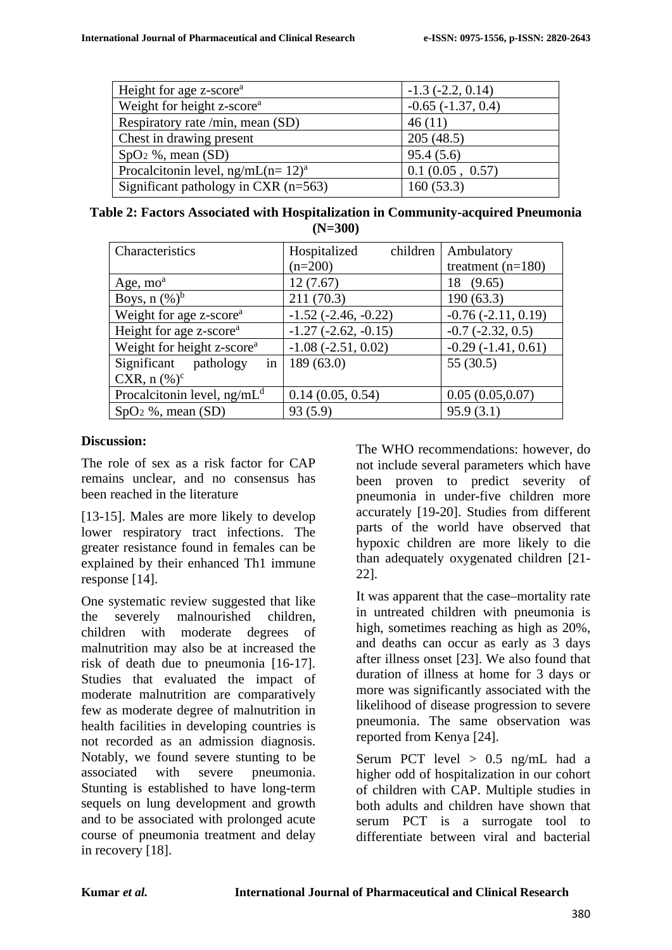| Height for age z-score <sup>a</sup>    | $-1.3$ $(-2.2, 0.14)$  |
|----------------------------------------|------------------------|
| Weight for height z-score <sup>a</sup> | $-0.65$ $(-1.37, 0.4)$ |
| Respiratory rate /min, mean (SD)       | 46(11)                 |
| Chest in drawing present               | 205(48.5)              |
| $SpO2$ %, mean $(SD)$                  | 95.4(5.6)              |
| Procalcitonin level, $ng/mL (n= 12)a$  | 0.1(0.05, 0.57)        |
| Significant pathology in CXR $(n=563)$ | 160(53.3)              |

| Table 2: Factors Associated with Hospitalization in Community-acquired Pneumonia |  |
|----------------------------------------------------------------------------------|--|
| $(N=300)$                                                                        |  |

| Characteristics                        | children<br>Hospitalized | Ambulatory              |
|----------------------------------------|--------------------------|-------------------------|
|                                        | $(n=200)$                | treatment $(n=180)$     |
| Age, $moa$                             | 12(7.67)                 | 18 (9.65)               |
| Boys, $n$ $(\%)^b$                     | 211(70.3)                | 190(63.3)               |
| Weight for age z-score <sup>a</sup>    | $-1.52$ $(-2.46, -0.22)$ | $-0.76$ $(-2.11, 0.19)$ |
| Height for age z-score <sup>a</sup>    | $-1.27$ $(-2.62, -0.15)$ | $-0.7$ $(-2.32, 0.5)$   |
| Weight for height z-score <sup>a</sup> | $-1.08$ $(-2.51, 0.02)$  | $-0.29(-1.41, 0.61)$    |
| in<br>Significant pathology            | 189(63.0)                | 55(30.5)                |
| CXR, $n$ (%) <sup>c</sup>              |                          |                         |
| Procalcitonin level, $ng/mLd$          | 0.14(0.05, 0.54)         | 0.05(0.05,0.07)         |
| $SpO2$ %, mean (SD)                    | 93(5.9)                  | 95.9(3.1)               |

### **Discussion:**

The role of sex as a risk factor for CAP remains unclear, and no consensus has been reached in the literature

[13-15]. Males are more likely to develop lower respiratory tract infections. The greater resistance found in females can be explained by their enhanced Th1 immune response [14].

One systematic review suggested that like the severely malnourished children, children with moderate degrees of malnutrition may also be at increased the risk of death due to pneumonia [16-17]. Studies that evaluated the impact of moderate malnutrition are comparatively few as moderate degree of malnutrition in health facilities in developing countries is not recorded as an admission diagnosis. Notably, we found severe stunting to be associated with severe pneumonia. Stunting is established to have long-term sequels on lung development and growth and to be associated with prolonged acute course of pneumonia treatment and delay in recovery [18].

The WHO recommendations: however, do not include several parameters which have been proven to predict severity of pneumonia in under-five children more accurately [19-20]. Studies from different parts of the world have observed that hypoxic children are more likely to die than adequately oxygenated children [21- 22].

It was apparent that the case–mortality rate in untreated children with pneumonia is high, sometimes reaching as high as 20%, and deaths can occur as early as 3 days after illness onset [23]. We also found that duration of illness at home for 3 days or more was significantly associated with the likelihood of disease progression to severe pneumonia. The same observation was reported from Kenya [24].

Serum PCT level  $> 0.5$  ng/mL had a higher odd of hospitalization in our cohort of children with CAP. Multiple studies in both adults and children have shown that serum PCT is a surrogate tool to differentiate between viral and bacterial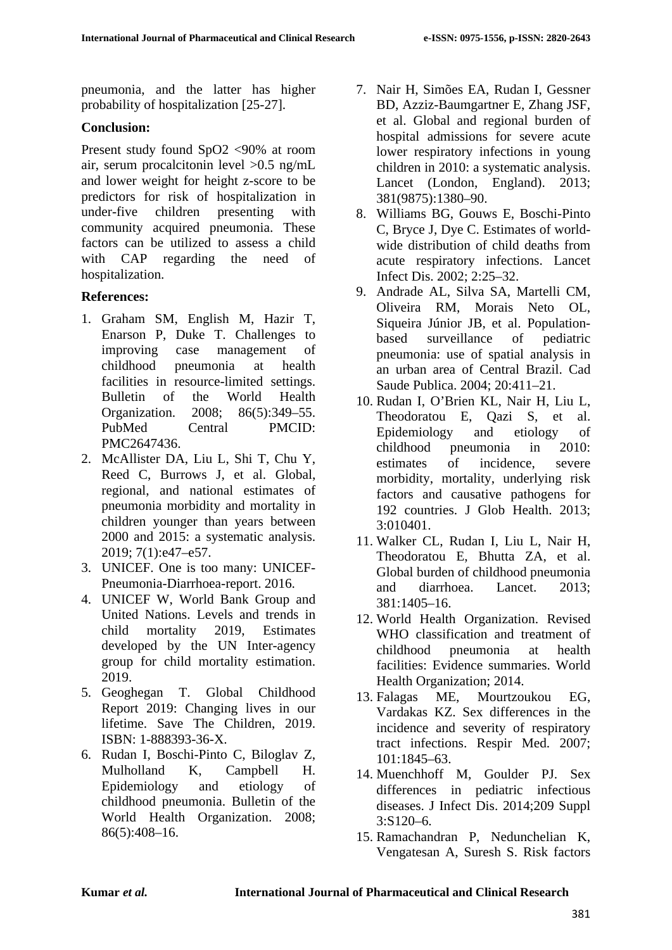pneumonia, and the latter has higher probability of hospitalization [25-27].

## **Conclusion:**

Present study found SpO2 <90% at room air, serum procalcitonin level >0.5 ng/mL and lower weight for height z-score to be predictors for risk of hospitalization in under-five children presenting with community acquired pneumonia. These factors can be utilized to assess a child with CAP regarding the need of hospitalization.

## **References:**

- 1. Graham SM, English M, Hazir T, Enarson P, Duke T. Challenges to improving case management of childhood pneumonia at health facilities in resource-limited settings. Bulletin of the World Health Organization. 2008; 86(5):349–55. PubMed Central PMCID: PMC2647436.
- 2. McAllister DA, Liu L, Shi T, Chu Y, Reed C, Burrows J, et al. Global, regional, and national estimates of pneumonia morbidity and mortality in children younger than years between 2000 and 2015: a systematic analysis. 2019; 7(1):e47–e57.
- 3. UNICEF. One is too many: UNICEF-Pneumonia-Diarrhoea-report. 2016.
- 4. UNICEF W, World Bank Group and United Nations. Levels and trends in child mortality 2019, Estimates developed by the UN Inter-agency group for child mortality estimation. 2019.
- 5. Geoghegan T. Global Childhood Report 2019: Changing lives in our lifetime. Save The Children, 2019. ISBN: 1-888393-36-X.
- 6. Rudan I, Boschi-Pinto C, Biloglav Z, Mulholland K, Campbell H. Epidemiology and etiology of childhood pneumonia. Bulletin of the World Health Organization. 2008; 86(5):408–16.
- 7. Nair H, Simões EA, Rudan I, Gessner BD, Azziz-Baumgartner E, Zhang JSF, et al. Global and regional burden of hospital admissions for severe acute lower respiratory infections in young children in 2010: a systematic analysis. Lancet (London, England). 2013; 381(9875):1380–90.
- 8. Williams BG, Gouws E, Boschi-Pinto C, Bryce J, Dye C. Estimates of worldwide distribution of child deaths from acute respiratory infections. Lancet Infect Dis. 2002; 2:25–32.
- 9. Andrade AL, Silva SA, Martelli CM, Oliveira RM, Morais Neto OL, Siqueira Júnior JB, et al. Populationbased surveillance of pediatric pneumonia: use of spatial analysis in an urban area of Central Brazil. Cad Saude Publica. 2004; 20:411–21.
- 10. Rudan I, O'Brien KL, Nair H, Liu L, Theodoratou E, Qazi S, et al. Epidemiology and etiology of childhood pneumonia in 2010: estimates of incidence, severe morbidity, mortality, underlying risk factors and causative pathogens for 192 countries. J Glob Health. 2013; 3:010401.
- 11. Walker CL, Rudan I, Liu L, Nair H, Theodoratou E, Bhutta ZA, et al. Global burden of childhood pneumonia and diarrhoea. Lancet. 2013; 381:1405–16.
- 12. World Health Organization. Revised WHO classification and treatment of childhood pneumonia at health facilities: Evidence summaries. World Health Organization; 2014.
- 13. Falagas ME, Mourtzoukou EG, Vardakas KZ. Sex differences in the incidence and severity of respiratory tract infections. Respir Med. 2007; 101:1845–63.
- 14. Muenchhoff M, Goulder PJ. Sex differences in pediatric infectious diseases. J Infect Dis. 2014;209 Suppl 3:S120–6.
- 15. Ramachandran P, Nedunchelian K, Vengatesan A, Suresh S. Risk factors